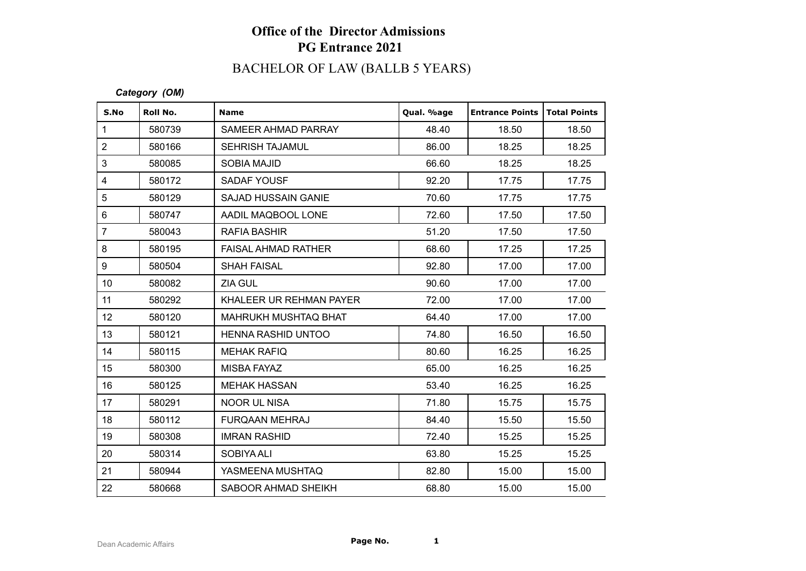## **Office of the Director Admissions PG Entrance 2021**

# BACHELOR OF LAW (BALLB 5 YEARS)

### *Category (OM)*

| S.No            | Roll No. | <b>Name</b>                 | Qual. %age | <b>Entrance Points</b> | <b>Total Points</b> |
|-----------------|----------|-----------------------------|------------|------------------------|---------------------|
| 1               | 580739   | SAMEER AHMAD PARRAY         | 48.40      | 18.50                  | 18.50               |
| $\overline{2}$  | 580166   | <b>SEHRISH TAJAMUL</b>      | 86.00      | 18.25                  | 18.25               |
| 3               | 580085   | <b>SOBIA MAJID</b>          | 66.60      | 18.25                  | 18.25               |
| 4               | 580172   | SADAF YOUSF                 | 92.20      | 17.75                  | 17.75               |
| 5               | 580129   | <b>SAJAD HUSSAIN GANIE</b>  | 70.60      | 17.75                  | 17.75               |
| $6\phantom{1}$  | 580747   | AADIL MAQBOOL LONE          | 72.60      | 17.50                  | 17.50               |
| $\overline{7}$  | 580043   | <b>RAFIA BASHIR</b>         | 51.20      | 17.50                  | 17.50               |
| 8               | 580195   | <b>FAISAL AHMAD RATHER</b>  | 68.60      | 17.25                  | 17.25               |
| 9               | 580504   | <b>SHAH FAISAL</b>          | 92.80      | 17.00                  | 17.00               |
| 10              | 580082   | ZIA GUL                     | 90.60      | 17.00                  | 17.00               |
| 11              | 580292   | KHALEER UR REHMAN PAYER     | 72.00      | 17.00                  | 17.00               |
| 12 <sup>°</sup> | 580120   | <b>MAHRUKH MUSHTAQ BHAT</b> | 64.40      | 17.00                  | 17.00               |
| 13              | 580121   | <b>HENNA RASHID UNTOO</b>   | 74.80      | 16.50                  | 16.50               |
| 14              | 580115   | <b>MEHAK RAFIQ</b>          | 80.60      | 16.25                  | 16.25               |
| 15              | 580300   | <b>MISBA FAYAZ</b>          | 65.00      | 16.25                  | 16.25               |
| 16              | 580125   | <b>MEHAK HASSAN</b>         | 53.40      | 16.25                  | 16.25               |
| 17              | 580291   | <b>NOOR UL NISA</b>         | 71.80      | 15.75                  | 15.75               |
| 18              | 580112   | <b>FURQAAN MEHRAJ</b>       | 84.40      | 15.50                  | 15.50               |
| 19              | 580308   | <b>IMRAN RASHID</b>         | 72.40      | 15.25                  | 15.25               |
| 20              | 580314   | SOBIYA ALI                  | 63.80      | 15.25                  | 15.25               |
| 21              | 580944   | YASMEENA MUSHTAQ            | 82.80      | 15.00                  | 15.00               |
| 22              | 580668   | SABOOR AHMAD SHEIKH         | 68.80      | 15.00                  | 15.00               |